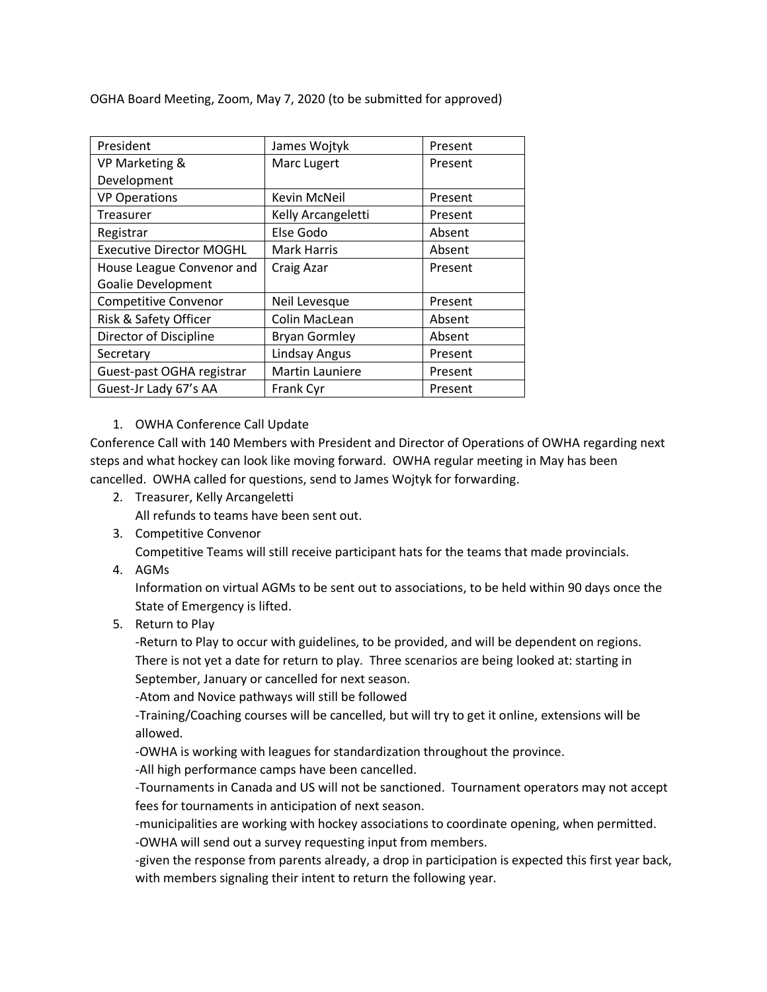OGHA Board Meeting, Zoom, May 7, 2020 (to be submitted for approved)

| President                       | James Wojtyk         | Present |
|---------------------------------|----------------------|---------|
| VP Marketing &                  | Marc Lugert          | Present |
| Development                     |                      |         |
| <b>VP Operations</b>            | Kevin McNeil         | Present |
| Treasurer                       | Kelly Arcangeletti   | Present |
| Registrar                       | Else Godo            | Absent  |
| <b>Executive Director MOGHL</b> | <b>Mark Harris</b>   | Absent  |
| House League Convenor and       | Craig Azar           | Present |
| <b>Goalie Development</b>       |                      |         |
| <b>Competitive Convenor</b>     | Neil Levesque        | Present |
| Risk & Safety Officer           | Colin MacLean        | Absent  |
| Director of Discipline          | <b>Bryan Gormley</b> | Absent  |
| Secretary                       | <b>Lindsay Angus</b> | Present |
| Guest-past OGHA registrar       | Martin Launiere      | Present |
| Guest-Jr Lady 67's AA           | Frank Cyr            | Present |

## 1. OWHA Conference Call Update

Conference Call with 140 Members with President and Director of Operations of OWHA regarding next steps and what hockey can look like moving forward. OWHA regular meeting in May has been cancelled. OWHA called for questions, send to James Wojtyk for forwarding.

2. Treasurer, Kelly Arcangeletti

All refunds to teams have been sent out.

- 3. Competitive Convenor Competitive Teams will still receive participant hats for the teams that made provincials.
- 4. AGMs

Information on virtual AGMs to be sent out to associations, to be held within 90 days once the State of Emergency is lifted.

5. Return to Play

-Return to Play to occur with guidelines, to be provided, and will be dependent on regions. There is not yet a date for return to play. Three scenarios are being looked at: starting in September, January or cancelled for next season.

-Atom and Novice pathways will still be followed

-Training/Coaching courses will be cancelled, but will try to get it online, extensions will be allowed.

-OWHA is working with leagues for standardization throughout the province.

-All high performance camps have been cancelled.

-Tournaments in Canada and US will not be sanctioned. Tournament operators may not accept fees for tournaments in anticipation of next season.

-municipalities are working with hockey associations to coordinate opening, when permitted. -OWHA will send out a survey requesting input from members.

-given the response from parents already, a drop in participation is expected this first year back, with members signaling their intent to return the following year.